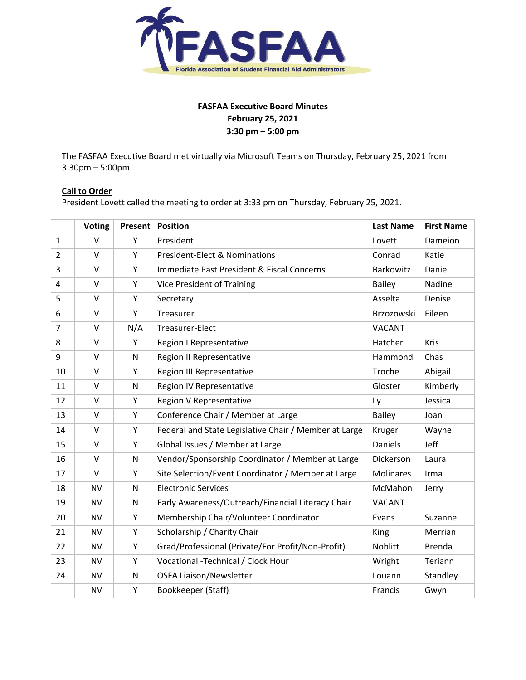

# **FASFAA Executive Board Minutes February 25, 2021 3:30 pm – 5:00 pm**

The FASFAA Executive Board met virtually via Microsoft Teams on Thursday, February 25, 2021 from 3:30pm – 5:00pm.

# **Call to Order**

President Lovett called the meeting to order at 3:33 pm on Thursday, February 25, 2021.

|                | <b>Voting</b> | Present | <b>Position</b>                                       | <b>Last Name</b> | <b>First Name</b> |
|----------------|---------------|---------|-------------------------------------------------------|------------------|-------------------|
| $\mathbf{1}$   | v             | Y       | President                                             | Lovett           | Dameion           |
| $\overline{2}$ | $\vee$        | Y       | <b>President-Elect &amp; Nominations</b>              | Conrad           | Katie             |
| $\overline{3}$ | $\vee$        | Y       | Immediate Past President & Fiscal Concerns            | Barkowitz        | Daniel            |
| 4              | $\vee$        | Υ       | <b>Vice President of Training</b>                     | <b>Bailey</b>    | Nadine            |
| 5              | $\vee$        | Υ       | Secretary                                             | Asselta          | Denise            |
| 6              | $\vee$        | Y       | Treasurer                                             | Brzozowski       | Eileen            |
| $\overline{7}$ | $\vee$        | N/A     | <b>Treasurer-Elect</b>                                | <b>VACANT</b>    |                   |
| 8              | $\vee$        | Y       | Region I Representative                               | Hatcher          | Kris              |
| 9              | V             | N       | Region II Representative                              | Hammond          | Chas              |
| 10             | $\vee$        | Y       | Region III Representative                             | Troche           | Abigail           |
| 11             | $\vee$        | N       | Region IV Representative                              | Gloster          | Kimberly          |
| 12             | $\vee$        | Υ       | Region V Representative                               | Ly               | Jessica           |
| 13             | $\vee$        | Υ       | Conference Chair / Member at Large                    | <b>Bailey</b>    | Joan              |
| 14             | $\vee$        | Y       | Federal and State Legislative Chair / Member at Large | Kruger           | Wayne             |
| 15             | $\vee$        | Y       | Global Issues / Member at Large                       | Daniels          | Jeff              |
| 16             | $\vee$        | N       | Vendor/Sponsorship Coordinator / Member at Large      | Dickerson        | Laura             |
| 17             | V             | Υ       | Site Selection/Event Coordinator / Member at Large    | <b>Molinares</b> | Irma              |
| 18             | <b>NV</b>     | N       | <b>Electronic Services</b>                            | McMahon          | Jerry             |
| 19             | <b>NV</b>     | N       | Early Awareness/Outreach/Financial Literacy Chair     | <b>VACANT</b>    |                   |
| 20             | <b>NV</b>     | Υ       | Membership Chair/Volunteer Coordinator                | Evans            | Suzanne           |
| 21             | <b>NV</b>     | Y       | Scholarship / Charity Chair                           | King             | Merrian           |
| 22             | <b>NV</b>     | Y       | Grad/Professional (Private/For Profit/Non-Profit)     | Noblitt          | <b>Brenda</b>     |
| 23             | <b>NV</b>     | Y       | Vocational -Technical / Clock Hour                    | Wright           | Teriann           |
| 24             | <b>NV</b>     | N       | <b>OSFA Liaison/Newsletter</b>                        | Louann           | Standley          |
|                | <b>NV</b>     | Υ       | Bookkeeper (Staff)                                    | Francis          | Gwyn              |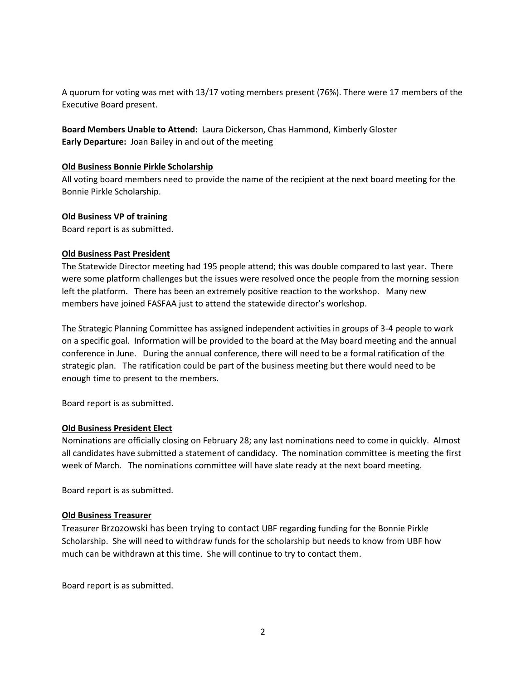A quorum for voting was met with 13/17 voting members present (76%). There were 17 members of the Executive Board present.

**Board Members Unable to Attend:** Laura Dickerson, Chas Hammond, Kimberly Gloster **Early Departure:** Joan Bailey in and out of the meeting

### **Old Business Bonnie Pirkle Scholarship**

All voting board members need to provide the name of the recipient at the next board meeting for the Bonnie Pirkle Scholarship.

#### **Old Business VP of training**

Board report is as submitted.

#### **Old Business Past President**

The Statewide Director meeting had 195 people attend; this was double compared to last year. There were some platform challenges but the issues were resolved once the people from the morning session left the platform. There has been an extremely positive reaction to the workshop. Many new members have joined FASFAA just to attend the statewide director's workshop.

The Strategic Planning Committee has assigned independent activities in groups of 3-4 people to work on a specific goal. Information will be provided to the board at the May board meeting and the annual conference in June. During the annual conference, there will need to be a formal ratification of the strategic plan. The ratification could be part of the business meeting but there would need to be enough time to present to the members.

Board report is as submitted.

#### **Old Business President Elect**

Nominations are officially closing on February 28; any last nominations need to come in quickly. Almost all candidates have submitted a statement of candidacy. The nomination committee is meeting the first week of March. The nominations committee will have slate ready at the next board meeting.

Board report is as submitted.

### **Old Business Treasurer**

Treasurer Brzozowski has been trying to contact UBF regarding funding for the Bonnie Pirkle Scholarship. She will need to withdraw funds for the scholarship but needs to know from UBF how much can be withdrawn at this time. She will continue to try to contact them.

Board report is as submitted.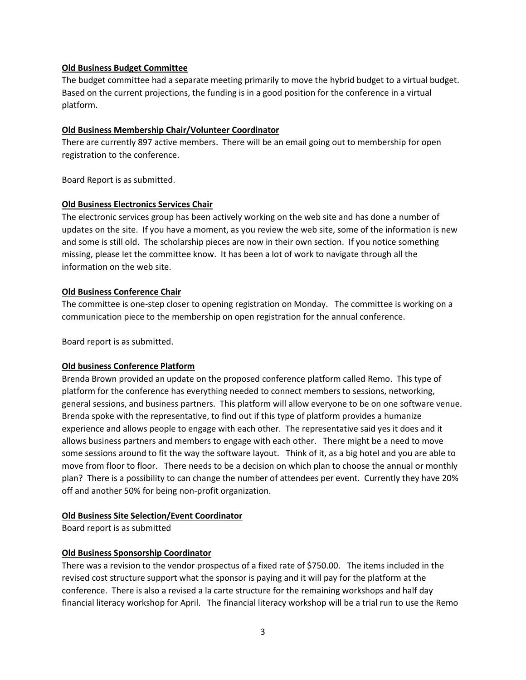### **Old Business Budget Committee**

The budget committee had a separate meeting primarily to move the hybrid budget to a virtual budget. Based on the current projections, the funding is in a good position for the conference in a virtual platform.

#### **Old Business Membership Chair/Volunteer Coordinator**

There are currently 897 active members. There will be an email going out to membership for open registration to the conference.

Board Report is as submitted.

#### **Old Business Electronics Services Chair**

The electronic services group has been actively working on the web site and has done a number of updates on the site. If you have a moment, as you review the web site, some of the information is new and some is still old. The scholarship pieces are now in their own section. If you notice something missing, please let the committee know. It has been a lot of work to navigate through all the information on the web site.

#### **Old Business Conference Chair**

The committee is one-step closer to opening registration on Monday. The committee is working on a communication piece to the membership on open registration for the annual conference.

Board report is as submitted.

### **Old business Conference Platform**

Brenda Brown provided an update on the proposed conference platform called Remo. This type of platform for the conference has everything needed to connect members to sessions, networking, general sessions, and business partners. This platform will allow everyone to be on one software venue. Brenda spoke with the representative, to find out if this type of platform provides a humanize experience and allows people to engage with each other. The representative said yes it does and it allows business partners and members to engage with each other. There might be a need to move some sessions around to fit the way the software layout. Think of it, as a big hotel and you are able to move from floor to floor. There needs to be a decision on which plan to choose the annual or monthly plan? There is a possibility to can change the number of attendees per event. Currently they have 20% off and another 50% for being non-profit organization.

### **Old Business Site Selection/Event Coordinator**

Board report is as submitted

### **Old Business Sponsorship Coordinator**

There was a revision to the vendor prospectus of a fixed rate of \$750.00. The items included in the revised cost structure support what the sponsor is paying and it will pay for the platform at the conference. There is also a revised a la carte structure for the remaining workshops and half day financial literacy workshop for April. The financial literacy workshop will be a trial run to use the Remo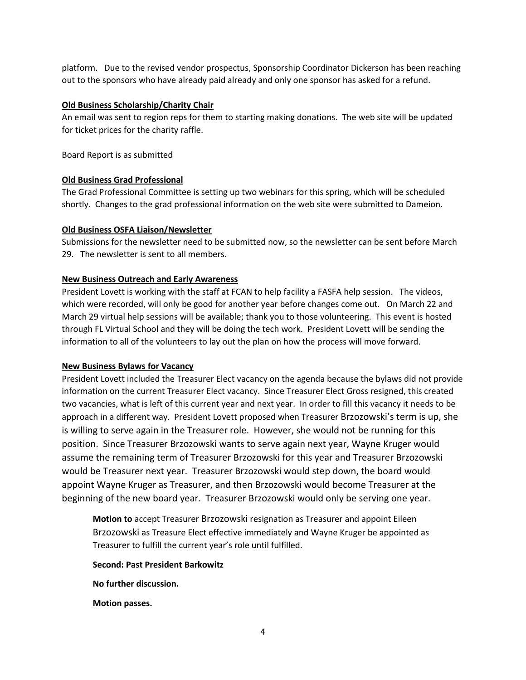platform. Due to the revised vendor prospectus, Sponsorship Coordinator Dickerson has been reaching out to the sponsors who have already paid already and only one sponsor has asked for a refund.

## **Old Business Scholarship/Charity Chair**

An email was sent to region reps for them to starting making donations. The web site will be updated for ticket prices for the charity raffle.

Board Report is as submitted

# **Old Business Grad Professional**

The Grad Professional Committee is setting up two webinars for this spring, which will be scheduled shortly. Changes to the grad professional information on the web site were submitted to Dameion.

# **Old Business OSFA Liaison/Newsletter**

Submissions for the newsletter need to be submitted now, so the newsletter can be sent before March 29. The newsletter is sent to all members.

# **New Business Outreach and Early Awareness**

President Lovett is working with the staff at FCAN to help facility a FASFA help session. The videos, which were recorded, will only be good for another year before changes come out. On March 22 and March 29 virtual help sessions will be available; thank you to those volunteering. This event is hosted through FL Virtual School and they will be doing the tech work. President Lovett will be sending the information to all of the volunteers to lay out the plan on how the process will move forward.

### **New Business Bylaws for Vacancy**

President Lovett included the Treasurer Elect vacancy on the agenda because the bylaws did not provide information on the current Treasurer Elect vacancy. Since Treasurer Elect Gross resigned, this created two vacancies, what is left of this current year and next year. In order to fill this vacancy it needs to be approach in a different way. President Lovett proposed when Treasurer Brzozowski's term is up, she is willing to serve again in the Treasurer role. However, she would not be running for this position. Since Treasurer Brzozowski wants to serve again next year, Wayne Kruger would assume the remaining term of Treasurer Brzozowski for this year and Treasurer Brzozowski would be Treasurer next year. Treasurer Brzozowski would step down, the board would appoint Wayne Kruger as Treasurer, and then Brzozowski would become Treasurer at the beginning of the new board year. Treasurer Brzozowski would only be serving one year.

**Motion to** accept Treasurer Brzozowski resignation as Treasurer and appoint Eileen Brzozowski as Treasure Elect effective immediately and Wayne Kruger be appointed as Treasurer to fulfill the current year's role until fulfilled.

**Second: Past President Barkowitz**

**No further discussion.** 

**Motion passes.**